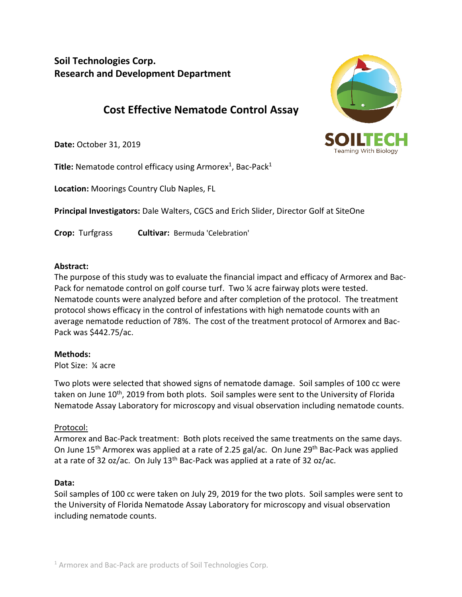**Soil Technologies Corp. Research and Development Department**

# **Cost Effective Nematode Control Assay**

**Date:** October 31, 2019

**Title:** Nematode control efficacy using Armorex<sup>1</sup>, Bac-Pack<sup>1</sup>

**Location:** Moorings Country Club Naples, FL

**Principal Investigators:** Dale Walters, CGCS and Erich Slider, Director Golf at SiteOne

**Crop:** Turfgrass **Cultivar:** Bermuda 'Celebration'

### **Abstract:**

The purpose of this study was to evaluate the financial impact and efficacy of Armorex and Bac-Pack for nematode control on golf course turf. Two ¼ acre fairway plots were tested. Nematode counts were analyzed before and after completion of the protocol. The treatment protocol shows efficacy in the control of infestations with high nematode counts with an average nematode reduction of 78%. The cost of the treatment protocol of Armorex and Bac-Pack was \$442.75/ac.

### **Methods:**

Plot Size: ¼ acre

Two plots were selected that showed signs of nematode damage. Soil samples of 100 cc were taken on June 10<sup>th</sup>, 2019 from both plots. Soil samples were sent to the University of Florida Nematode Assay Laboratory for microscopy and visual observation including nematode counts.

### Protocol:

Armorex and Bac-Pack treatment: Both plots received the same treatments on the same days. On June 15<sup>th</sup> Armorex was applied at a rate of 2.25 gal/ac. On June 29<sup>th</sup> Bac-Pack was applied at a rate of 32 oz/ac. On July  $13<sup>th</sup>$  Bac-Pack was applied at a rate of 32 oz/ac.

### **Data:**

Soil samples of 100 cc were taken on July 29, 2019 for the two plots. Soil samples were sent to the University of Florida Nematode Assay Laboratory for microscopy and visual observation including nematode counts.